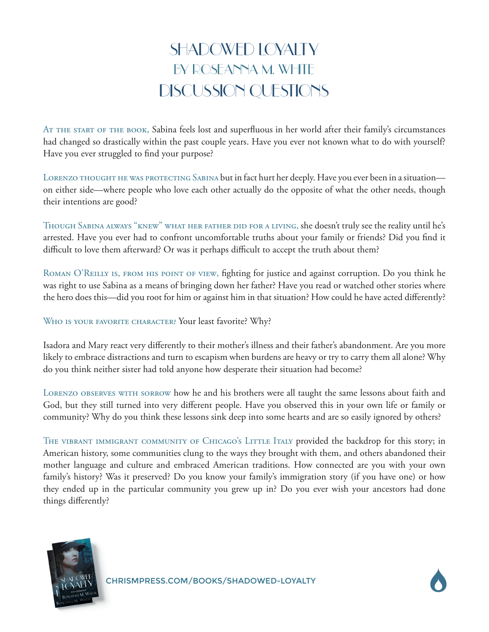## SHADOWED LOYALTY BY ROSEANNA M. WHITE DISCUSSION QUESTIONS

At the start of the book, Sabina feels lost and superfluous in her world after their family's circumstances had changed so drastically within the past couple years. Have you ever not known what to do with yourself? Have you ever struggled to find your purpose?

LORENZO THOUGHT HE WAS PROTECTING SABINA but in fact hurt her deeply. Have you ever been in a situation on either side—where people who love each other actually do the opposite of what the other needs, though their intentions are good?

Though Sabina always "knew" what her father did for a living, she doesn't truly see the reality until he's arrested. Have you ever had to confront uncomfortable truths about your family or friends? Did you find it difficult to love them afterward? Or was it perhaps difficult to accept the truth about them?

ROMAN O'REILLY IS, FROM HIS POINT OF VIEW, fighting for justice and against corruption. Do you think he was right to use Sabina as a means of bringing down her father? Have you read or watched other stories where the hero does this—did you root for him or against him in that situation? How could he have acted differently?

WHO IS YOUR FAVORITE CHARACTER? Your least favorite? Why?

Isadora and Mary react very differently to their mother's illness and their father's abandonment. Are you more likely to embrace distractions and turn to escapism when burdens are heavy or try to carry them all alone? Why do you think neither sister had told anyone how desperate their situation had become?

Lorenzo observes with sorrow how he and his brothers were all taught the same lessons about faith and God, but they still turned into very different people. Have you observed this in your own life or family or community? Why do you think these lessons sink deep into some hearts and are so easily ignored by others?

THE VIBRANT IMMIGRANT COMMUNITY OF CHICAGO'S LITTLE ITALY provided the backdrop for this story; in American history, some communities clung to the ways they brought with them, and others abandoned their mother language and culture and embraced American traditions. How connected are you with your own family's history? Was it preserved? Do you know your family's immigration story (if you have one) or how they ended up in the particular community you grew up in? Do you ever wish your ancestors had done things differently?